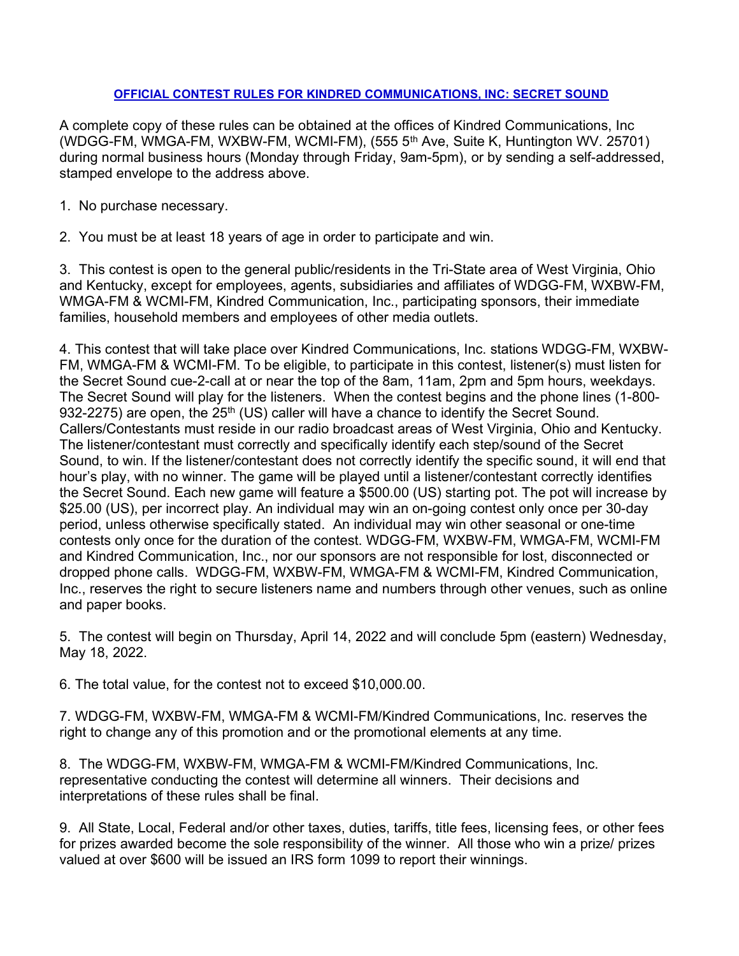## OFFICIAL CONTEST RULES FOR KINDRED COMMUNICATIONS, INC: SECRET SOUND

A complete copy of these rules can be obtained at the offices of Kindred Communications, Inc (WDGG-FM, WMGA-FM, WXBW-FM, WCMI-FM), (555 5th Ave, Suite K, Huntington WV. 25701) during normal business hours (Monday through Friday, 9am-5pm), or by sending a self-addressed, stamped envelope to the address above.

- 1. No purchase necessary.
- 2. You must be at least 18 years of age in order to participate and win.

3. This contest is open to the general public/residents in the Tri-State area of West Virginia, Ohio and Kentucky, except for employees, agents, subsidiaries and affiliates of WDGG-FM, WXBW-FM, WMGA-FM & WCMI-FM, Kindred Communication, Inc., participating sponsors, their immediate families, household members and employees of other media outlets.

4. This contest that will take place over Kindred Communications, Inc. stations WDGG-FM, WXBW-FM, WMGA-FM & WCMI-FM. To be eligible, to participate in this contest, listener(s) must listen for the Secret Sound cue-2-call at or near the top of the 8am, 11am, 2pm and 5pm hours, weekdays. The Secret Sound will play for the listeners. When the contest begins and the phone lines (1-800- 932-2275) are open, the 25<sup>th</sup> (US) caller will have a chance to identify the Secret Sound. Callers/Contestants must reside in our radio broadcast areas of West Virginia, Ohio and Kentucky. The listener/contestant must correctly and specifically identify each step/sound of the Secret Sound, to win. If the listener/contestant does not correctly identify the specific sound, it will end that hour's play, with no winner. The game will be played until a listener/contestant correctly identifies the Secret Sound. Each new game will feature a \$500.00 (US) starting pot. The pot will increase by \$25.00 (US), per incorrect play. An individual may win an on-going contest only once per 30-day period, unless otherwise specifically stated. An individual may win other seasonal or one-time contests only once for the duration of the contest. WDGG-FM, WXBW-FM, WMGA-FM, WCMI-FM and Kindred Communication, Inc., nor our sponsors are not responsible for lost, disconnected or dropped phone calls. WDGG-FM, WXBW-FM, WMGA-FM & WCMI-FM, Kindred Communication, Inc., reserves the right to secure listeners name and numbers through other venues, such as online and paper books.

5. The contest will begin on Thursday, April 14, 2022 and will conclude 5pm (eastern) Wednesday, May 18, 2022.

6. The total value, for the contest not to exceed \$10,000.00.

7. WDGG-FM, WXBW-FM, WMGA-FM & WCMI-FM/Kindred Communications, Inc. reserves the right to change any of this promotion and or the promotional elements at any time.

8. The WDGG-FM, WXBW-FM, WMGA-FM & WCMI-FM/Kindred Communications, Inc. representative conducting the contest will determine all winners. Their decisions and interpretations of these rules shall be final.

9. All State, Local, Federal and/or other taxes, duties, tariffs, title fees, licensing fees, or other fees for prizes awarded become the sole responsibility of the winner. All those who win a prize/ prizes valued at over \$600 will be issued an IRS form 1099 to report their winnings.